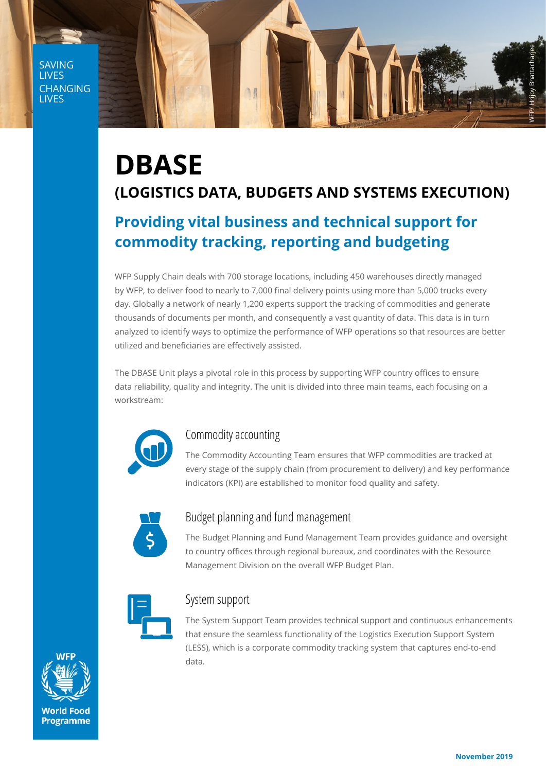SAVING LIVES CHANGING **LIVES** 



# **DBASE (LOGISTICS DATA, BUDGETS AND SYSTEMS EXECUTION)**

## **Providing vital business and technical support for commodity tracking, reporting and budgeting**

WFP Supply Chain deals with 700 storage locations, including 450 warehouses directly managed by WFP, to deliver food to nearly to 7,000 final delivery points using more than 5,000 trucks every day. Globally a network of nearly 1,200 experts support the tracking of commodities and generate thousands of documents per month, and consequently a vast quantity of data. This data is in turn analyzed to identify ways to optimize the performance of WFP operations so that resources are better utilized and beneficiaries are effectively assisted.

The DBASE Unit plays a pivotal role in this process by supporting WFP country offices to ensure data reliability, quality and integrity. The unit is divided into three main teams, each focusing on a workstream:



## Commodity accounting

The Commodity Accounting Team ensures that WFP commodities are tracked at every stage of the supply chain (from procurement to delivery) and key performance indicators (KPI) are established to monitor food quality and safety.



## Budget planning and fund management

The Budget Planning and Fund Management Team provides guidance and oversight to country offices through regional bureaux, and coordinates with the Resource Management Division on the overall WFP Budget Plan.



#### System support

The System Support Team provides technical support and continuous enhancements that ensure the seamless functionality of the Logistics Execution Support System (LESS), which is a corporate commodity tracking system that captures end-to-end data.